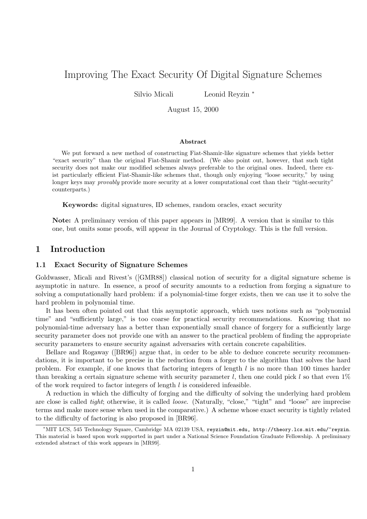# Improving The Exact Security Of Digital Signature Schemes

Silvio Micali Leonid Reyzin <sup>∗</sup>

August 15, 2000

#### Abstract

We put forward a new method of constructing Fiat-Shamir-like signature schemes that yields better "exact security" than the original Fiat-Shamir method. (We also point out, however, that such tight security does not make our modified schemes always preferable to the original ones. Indeed, there exist particularly efficient Fiat-Shamir-like schemes that, though only enjoying "loose security," by using longer keys may *provably* provide more security at a lower computational cost than their "tight-security" counterparts.)

Keywords: digital signatures, ID schemes, random oracles, exact security

Note: A preliminary version of this paper appears in [MR99]. A version that is similar to this one, but omits some proofs, will appear in the Journal of Cryptology. This is the full version.

### 1 Introduction

#### 1.1 Exact Security of Signature Schemes

Goldwasser, Micali and Rivest's ([GMR88]) classical notion of security for a digital signature scheme is asymptotic in nature. In essence, a proof of security amounts to a reduction from forging a signature to solving a computationally hard problem: if a polynomial-time forger exists, then we can use it to solve the hard problem in polynomial time.

It has been often pointed out that this asymptotic approach, which uses notions such as "polynomial time" and "sufficiently large," is too coarse for practical security recommendations. Knowing that no polynomial-time adversary has a better than exponentially small chance of forgery for a sufficiently large security parameter does not provide one with an answer to the practical problem of finding the appropriate security parameters to ensure security against adversaries with certain concrete capabilities.

Bellare and Rogaway ([BR96]) argue that, in order to be able to deduce concrete security recommendations, it is important to be precise in the reduction from a forger to the algorithm that solves the hard problem. For example, if one knows that factoring integers of length l is no more than 100 times harder than breaking a certain signature scheme with security parameter l, then one could pick l so that even  $1\%$ of the work required to factor integers of length  $l$  is considered infeasible.

A reduction in which the difficulty of forging and the difficulty of solving the underlying hard problem are close is called *tight*; otherwise, it is called *loose*. (Naturally, "close," "tight" and "loose" are imprecise terms and make more sense when used in the comparative.) A scheme whose exact security is tightly related to the difficulty of factoring is also proposed in [BR96].

<sup>∗</sup>MIT LCS, 545 Technology Square, Cambridge MA 02139 USA, reyzin@mit.edu, http://theory.lcs.mit.edu/~reyzin. This material is based upon work supported in part under a National Science Foundation Graduate Fellowship. A preliminary extended abstract of this work appears in [MR99].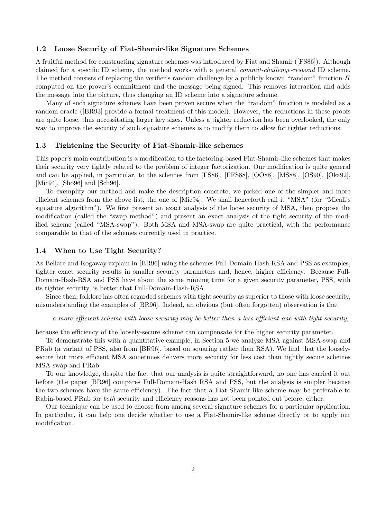#### 1.2 Loose Security of Fiat-Shamir-like Signature Schemes

A fruitful method for constructing signature schemes was introduced by Fiat and Shamir ([FS86]). Although claimed for a specific ID scheme, the method works with a general commit-challenge-respond ID scheme. The method consists of replacing the verifier's random challenge by a publicly known "random" function H computed on the prover's commitment and the message being signed. This removes interaction and adds the message into the picture, thus changing an ID scheme into a signature scheme.

Many of such signature schemes have been proven secure when the "random" function is modeled as a random oracle ([BR93] provide a formal treatment of this model). However, the reductions in these proofs are quite loose, thus necessitating larger key sizes. Unless a tighter reduction has been overlooked, the only way to improve the security of such signature schemes is to modify them to allow for tighter reductions.

#### 1.3 Tightening the Security of Fiat-Shamir-like schemes

This paper's main contribution is a modification to the factoring-based Fiat-Shamir-like schemes that makes their security very tightly related to the problem of integer factorization. Our modification is quite general and can be applied, in particular, to the schemes from [FS86], [FFS88], [OO88], [MS88], [OS90], [Oka92], [Mic94], [Sho96] and [Sch96].

To exemplify our method and make the description concrete, we picked one of the simpler and more efficient schemes from the above list, the one of [Mic94]. We shall henceforth call it "MSA" (for "Micali's signature algorithm"). We first present an exact analysis of the loose security of MSA, then propose the modification (called the "swap method") and present an exact analysis of the tight security of the modified scheme (called "MSA-swap"). Both MSA and MSA-swap are quite practical, with the performance comparable to that of the schemes currently used in practice.

#### 1.4 When to Use Tight Security?

As Bellare and Rogaway explain in [BR96] using the schemes Full-Domain-Hash-RSA and PSS as examples, tighter exact security results in smaller security parameters and, hence, higher efficiency. Because Full-Domain-Hash-RSA and PSS have about the same running time for a given security parameter, PSS, with its tighter security, is better that Full-Domain-Hash-RSA.

Since then, folklore has often regarded schemes with tight security as superior to those with loose security, misunderstanding the examples of [BR96]. Indeed, an obvious (but often forgotten) observation is that

#### a more efficient scheme with loose security may be better than a less efficient one with tight security,

because the efficiency of the loosely-secure scheme can compensate for the higher security parameter.

To demonstrate this with a quantitative example, in Section 5 we analyze MSA against MSA-swap and PRab (a variant of PSS, also from [BR96], based on squaring rather than RSA). We find that the looselysecure but more efficient MSA sometimes delivers more security for less cost than tightly secure schemes MSA-swap and PRab.

To our knowledge, despite the fact that our analysis is quite straightforward, no one has carried it out before (the paper [BR96] compares Full-Domain-Hash RSA and PSS, but the analysis is simpler because the two schemes have the same efficiency). The fact that a Fiat-Shamir-like scheme may be preferable to Rabin-based PRab for both security and efficiency reasons has not been pointed out before, either.

Our technique can be used to choose from among several signature schemes for a particular application. In particular, it can help one decide whether to use a Fiat-Shamir-like scheme directly or to apply our modification.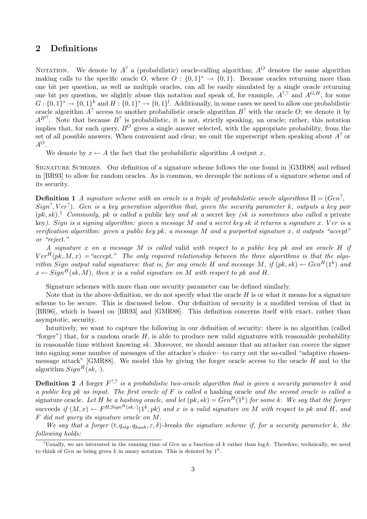# 2 Definitions

NOTATION. We denote by  $A^?$  a (probabilistic) oracle-calling algorithm;  $A^O$  denotes the same algorithm making calls to the specific oracle O, where  $O: \{0,1\}^* \to \{0,1\}$ . Because oracles returning more than one bit per question, as well as multiple oracles, can all be easily simulated by a single oracle returning one bit per question, we slightly abuse this notation and speak of, for example,  $A^{?,?}$  and  $A^{G,H}$ , for some  $G: \{0,1\}^* \to \{0,1\}^k$  and  $H: \{0,1\}^* \to \{0,1\}^l$ . Additionally, in some cases we need to allow one probabilistic oracle algorithm  $A^?$  access to another probabilistic oracle algorithm  $B^?$  with the oracle O; we denote it by  $A^{B^O}$ . Note that because  $B^?$  is probabilistic, it is not, strictly speaking, an oracle; rather, this notation implies that, for each query,  $B^O$  gives a single answer selected, with the appropriate probability, from the set of all possible answers. When convenient and clear, we omit the superscript when speaking about  $A^?$  or  $A^O$ .

We denote by  $x \leftarrow A$  the fact that the probabilistic algorithm A output x.

Signature Schemes. Our definition of a signature scheme follows the one found in [GMR88] and refined in [BR93] to allow for random oracles. As is common, we decouple the notions of a signature scheme and of its security.

**Definition 1** A signature scheme with an oracle is a triple of probabilistic oracle algorithms  $\Pi = (Gen^2,$  $Sign^?,Ver^?)$ . Gen is a key generation algorithm that, given the security parameter k, outputs a key pair  $(pk, sk).$ <sup>1</sup> Commonly, pk is called a public key and sk a secret key (sk is sometimes also called a private key). Sign is a signing algorithm: given a message  $M$  and a secret key sk it returns a signature x. Ver is a verification algorithm: given a public key pk, a message M and a purported signature x, it outputs "accept" or "reject."

A signature x on a message M is called valid with respect to a public key pk and an oracle  $H$  if  $Ver<sup>H</sup>(pk, M, x) = "accept."$  The only required relationship between the three algorithms is that the algorithm Sign output valid signatures: that is, for any oracle H and message M, if  $(pk, sk) \leftarrow Gen^H(1^k)$  and  $x \leftarrow Sign^H(sk, M)$ , then x is a valid signature on M with respect to pk and H.

Signature schemes with more than one security parameter can be defined similarly.

Note that in the above definition, we do not specify what the oracle  $H$  is or what it means for a signature scheme to be secure. This is discussed below. Our definition of security is a modified version of that in [BR96], which is based on [BR93] and [GMR88]. This definition concerns itself with exact, rather than asymptotic, security.

Intuitively, we want to capture the following in our definition of security: there is no algorithm (called "forger") that, for a random oracle  $H$ , is able to produce new valid signatures with reasonable probability in reasonable time without knowing sk. Moreover, we should assume that an attacker can coerce the signer into signing some number of messages of the attacker's choice—to carry out the so-called "adaptive chosenmessage attack" [GMR88]. We model this by giving the forger oracle access to the oracle  $H$  and to the algorithm  $Sign^H(sk, \cdot)$ .

**Definition 2** A forger  $F^{?,?}$  is a probabilistic two-oracle algorithm that is given a security parameter k and a public key pk as input. The first oracle of  $F$  is called a hashing oracle and the second oracle is called a signature oracle. Let H be a hashing oracle, and let  $(pk, sk) = Gen^H(1^k)$  for some k. We say that the forger succeeds if  $(M, x) \leftarrow F^{H, Sign^H(sk, \cdot)}(1^k, pk)$  and x is a valid signature on M with respect to pk and H, and F did not query its signature oracle on M.

We say that a forger  $(t, q_{sig}, q_{hash}, \varepsilon, \delta)$ -breaks the signature scheme if, for a security parameter k, the following holds:

<sup>&</sup>lt;sup>1</sup>Usually, we are interested in the running time of Gen as a function of k rather than  $\log k$ . Therefore, technically, we need to think of Gen as being given k in unary notation. This is denoted by  $1^k$ .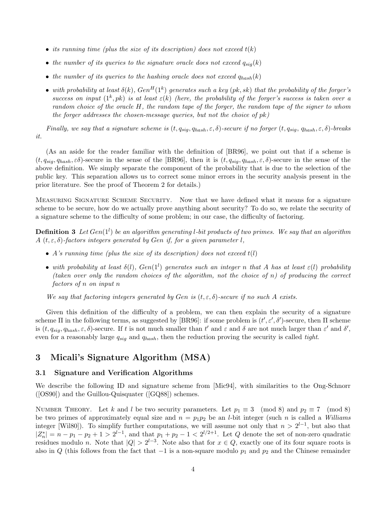- its running time (plus the size of its description) does not exceed  $t(k)$
- the number of its queries to the signature oracle does not exceed  $q_{sig}(k)$
- the number of its queries to the hashing oracle does not exceed  $q_{hash}(k)$
- with probability at least  $\delta(k)$ ,  $Gen^H(1^k)$  generates such a key (pk, sk) that the probability of the forger's success on input  $(1^k, pk)$  is at least  $\varepsilon(k)$  (here, the probability of the forger's success is taken over a random choice of the oracle H, the random tape of the forger, the random tape of the signer to whom the forger addresses the chosen-message queries, but not the choice of  $pk$ )

Finally, we say that a signature scheme is  $(t, q_{sig}, q_{hash}, \varepsilon, \delta)$ -secure if no forger  $(t, q_{sig}, q_{hash}, \varepsilon, \delta)$ -breaks it.

(As an aside for the reader familiar with the definition of [BR96], we point out that if a scheme is  $(t, q_{sia}, q_{hash}, \varepsilon \delta)$ -secure in the sense of the [BR96], then it is  $(t, q_{sia}, q_{hash}, \varepsilon, \delta)$ -secure in the sense of the above definition. We simply separate the component of the probability that is due to the selection of the public key. This separation allows us to correct some minor errors in the security analysis present in the prior literature. See the proof of Theorem 2 for details.)

Measuring Signature Scheme Security. Now that we have defined what it means for a signature scheme to be secure, how do we actually prove anything about security? To do so, we relate the security of a signature scheme to the difficulty of some problem; in our case, the difficulty of factoring.

**Definition 3** Let  $Gen(1^l)$  be an algorithm generating l-bit products of two primes. We say that an algorithm A (t,  $\varepsilon$ ,  $\delta$ )-factors integers generated by Gen if, for a given parameter l.

- A's running time (plus the size of its description) does not exceed  $t(l)$
- with probability at least  $\delta(l)$ ,  $Gen(1^l)$  generates such an integer n that A has at least  $\varepsilon(l)$  probability (taken over only the random choices of the algorithm, not the choice of  $n$ ) of producing the correct factors of n on input n

We say that factoring integers generated by Gen is  $(t, \varepsilon, \delta)$ -secure if no such A exists.

Given this definition of the difficulty of a problem, we can then explain the security of a signature scheme  $\Pi$  in the following terms, as suggested by [BR96]: if some problem is  $(t', \varepsilon', \delta')$ -secure, then  $\Pi$  scheme is  $(t, q_{sig}, q_{hash}, \varepsilon, \delta)$ -secure. If t is not much smaller than t' and  $\varepsilon$  and  $\delta$  are not much larger than  $\varepsilon'$  and  $\delta'$ , even for a reasonably large  $q_{sig}$  and  $q_{hash}$ , then the reduction proving the security is called tight.

# 3 Micali's Signature Algorithm (MSA)

#### 3.1 Signature and Verification Algorithms

We describe the following ID and signature scheme from [Mic94], with similarities to the Ong-Schnorr ([OS90]) and the Guillou-Quisquater ([GQ88]) schemes.

NUMBER THEORY. Let k and l be two security parameters. Let  $p_1 \equiv 3 \pmod{8}$  and  $p_2 \equiv 7 \pmod{8}$ be two primes of approximately equal size and  $n = p_1p_2$  be an *l*-bit integer (such *n* is called a Williams integer [Wil80]). To simplify further computations, we will assume not only that  $n > 2^{l-1}$ , but also that  $|Z_n^*$  $\binom{1}{n} = n - p_1 - p_2 + 1 > 2^{l-1}$ , and that  $p_1 + p_2 - 1 < 2^{l/2+1}$ . Let Q denote the set of non-zero quadratic residues modulo n. Note that  $|Q| > 2^{l-3}$ . Note also that for  $x \in Q$ , exactly one of its four square roots is also in Q (this follows from the fact that  $-1$  is a non-square modulo  $p_1$  and  $p_2$  and the Chinese remainder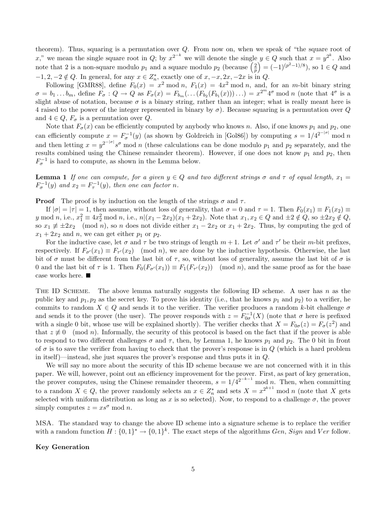theorem). Thus, squaring is a permutation over  $Q$ . From now on, when we speak of "the square root of x," we mean the single square root in Q; by  $x^{2^{-k}}$  we will denote the single  $y \in Q$  such that  $x = y^{2^k}$ . Also note that 2 is a non-square modulo  $p_1$  and a square modulo  $p_2$  (because  $\left(\frac{2}{n}\right)$  $\binom{2}{p} = (-1)^{(p^2-1)/8}$ , so  $1 \in Q$  and  $-1, 2, -2 \notin Q$ . In general, for any  $x \in Z_n^*$  $n_n^*$ , exactly one of  $x, -x, 2x, -2x$  is in  $Q$ .

Following [GMR88], define  $F_0(x) = x^2 \mod n$ ,  $F_1(x) = 4x^2 \mod n$ , and, for an *m*-bit binary string  $\sigma = b_1 \dots b_m$ , define  $F_{\sigma}: Q \to Q$  as  $F_{\sigma}(x) = F_{b_m}(\dots(F_{b_2}(F_{b_1}(x)))\dots) = x^{2^m} 4^{\sigma} \mod n$  (note that  $4^{\sigma}$  is a slight abuse of notation, because  $\sigma$  is a binary string, rather than an integer; what is really meant here is 4 raised to the power of the integer represented in binary by  $\sigma$ ). Because squaring is a permutation over Q and  $4 \in Q$ ,  $F_{\sigma}$  is a permutation over Q.

Note that  $F_{\sigma}(x)$  can be efficiently computed by anybody who knows n. Also, if one knows  $p_1$  and  $p_2$ , one can efficiently compute  $x = F_{\sigma}^{-1}(y)$  (as shown by Goldreich in [Gol86]) by computing  $s = 1/4^{2^{-|\sigma|}}$  mod n and then letting  $x = y^{2-|\sigma|} s^{\sigma}$  mod n (these calculations can be done modulo  $p_1$  and  $p_2$  separately, and the results combined using the Chinese remainder theorem). However, if one does not know  $p_1$  and  $p_2$ , then  $F_{\sigma}^{-1}$  is hard to compute, as shown in the Lemma below.

**Lemma 1** If one can compute, for a given  $y \in Q$  and two different strings  $\sigma$  and  $\tau$  of equal length,  $x_1 =$  $F_{\sigma}^{-1}(y)$  and  $x_2 = F_{\tau}^{-1}(y)$ , then one can factor n.

**Proof** The proof is by induction on the length of the strings  $\sigma$  and  $\tau$ .

If  $|\sigma| = |\tau| = 1$ , then assume, without loss of generality, that  $\sigma = 0$  and  $\tau = 1$ . Then  $F_0(x_1) \equiv F_1(x_2) \equiv$ y mod n, i.e.,  $x_1^2 \equiv 4x_2^2 \mod n$ , i.e.,  $n|(x_1 - 2x_2)(x_1 + 2x_2)$ . Note that  $x_1, x_2 \in Q$  and  $\pm 2 \notin Q$ , so  $\pm 2x_2 \notin Q$ , so  $x_1 \neq \pm 2x_2 \pmod{n}$ , so n does not divide either  $x_1 - 2x_2$  or  $x_1 + 2x_2$ . Thus, by computing the gcd of  $x_1 + 2x_2$  and n, we can get either  $p_1$  or  $p_2$ .

For the inductive case, let  $\sigma$  and  $\tau$  be two strings of length  $m + 1$ . Let  $\sigma'$  and  $\tau'$  be their m-bit prefixes, respectively. If  $F_{\sigma}(x_1) \equiv F_{\tau}(x_2) \pmod{n}$ , we are done by the inductive hypothesis. Otherwise, the last bit of  $\sigma$  must be different from the last bit of  $\tau$ , so, without loss of generality, assume the last bit of  $\sigma$  is 0 and the last bit of  $\tau$  is 1. Then  $F_0(F_{\sigma'}(x_1)) \equiv F_1(F_{\tau'}(x_2))$  (mod *n*), and the same proof as for the base case works here.  $\blacksquare$ 

THE ID SCHEME. The above lemma naturally suggests the following ID scheme. A user has n as the public key and  $p_1, p_2$  as the secret key. To prove his identity (i.e., that he knows  $p_1$  and  $p_2$ ) to a verifier, he commits to random  $X \in Q$  and sends it to the verifier. The verifier produces a random k-bit challenge  $\sigma$ and sends it to the prover (the user). The prover responds with  $z = F_{0\sigma}^{-1}(X)$  (note that  $\sigma$  here is prefixed with a single 0 bit, whose use will be explained shortly). The verifier checks that  $X = F_{0\sigma}(z) = F_{\sigma}(z^2)$  and that  $z \not\equiv 0 \pmod{n}$ . Informally, the security of this protocol is based on the fact that if the prover is able to respond to two different challenges  $\sigma$  and  $\tau$ , then, by Lemma 1, he knows  $p_1$  and  $p_2$ . The 0 bit in front of  $\sigma$  is to save the verifier from having to check that the prover's response is in  $Q$  (which is a hard problem in itself)—instead, she just squares the prover's response and thus puts it in Q.

We will say no more about the security of this ID scheme because we are not concerned with it in this paper. We will, however, point out an efficiency improvement for the prover. First, as part of key generation, the prover computes, using the Chinese remainder theorem,  $s = 1/4^{2-k-1}$  mod n. Then, when committing to a random  $X \in Q$ , the prover randomly selects an  $x \in Z_n^*$  and sets  $X = x^{2^{k+1}}$  mod n (note that X gets selected with uniform distribution as long as x is so selected). Now, to respond to a challenge  $\sigma$ , the prover simply computes  $z = xs^{\sigma} \mod n$ .

MSA. The standard way to change the above ID scheme into a signature scheme is to replace the verifier with a random function  $H: \{0,1\}^* \to \{0,1\}^k$ . The exact steps of the algorithms Gen, Sign and Ver follow.

#### Key Generation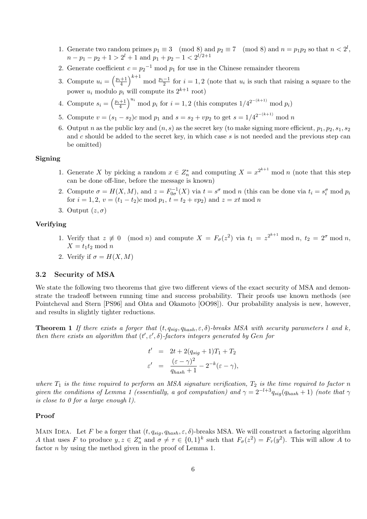- 1. Generate two random primes  $p_1 \equiv 3 \pmod{8}$  and  $p_2 \equiv 7 \pmod{8}$  and  $n = p_1p_2$  so that  $n < 2^l$ ,  $n-p_1-p_2+1 > 2^l + 1$  and  $p_1+p_2-1 < 2^{l/2+1}$
- 2. Generate coefficient  $c = p_2^{-1} \mod p_1$  for use in the Chinese remainder theorem
- 3. Compute  $u_i = \left(\frac{p_i+1}{4}\right)^{k+1}$  mod  $\frac{p_i-1}{2}$  for  $i=1,2$  (note that  $u_i$  is such that raising a square to the power  $u_i$  modulo  $p_i$  will compute its  $2^{k+1}$  root)
- 4. Compute  $s_i = \left(\frac{p_i+1}{4}\right)^{u_i} \mod p_i$  for  $i=1,2$  (this computes  $1/4^{2^{-(k+1)}} \mod p_i$ )
- 5. Compute  $v = (s_1 s_2)c \mod p_1$  and  $s = s_2 + vp_2$  to get  $s = 1/4^{2^{-(k+1)}} \mod n$
- 6. Output n as the public key and  $(n, s)$  as the secret key (to make signing more efficient,  $p_1, p_2, s_1, s_2$ and c should be added to the secret key, in which case  $s$  is not needed and the previous step can be omitted)

#### Signing

- 1. Generate X by picking a random  $x \in Z_n^*$  and computing  $X = x^{2^{k+1}}$  mod n (note that this step can be done off-line, before the message is known)
- 2. Compute  $\sigma = H(X, M)$ , and  $z = F_{0\sigma}^{-1}(X)$  via  $t = s^{\sigma} \mod n$  (this can be done via  $t_i = s_i^{\sigma} \mod p_i$ for  $i = 1, 2, v = (t_1 - t_2)c \mod p_1$ ,  $t = t_2 + vp_2$  and  $z = xt \mod n$
- 3. Output  $(z, \sigma)$

#### Verifying

- 1. Verify that  $z \neq 0 \pmod{n}$  and compute  $X = F_{\sigma}(z^2)$  via  $t_1 = z^{2^{k+1}} \bmod n$ ,  $t_2 = 2^{\sigma} \bmod n$ ,  $X = t_1t_2 \mod n$
- 2. Verify if  $\sigma = H(X, M)$

#### 3.2 Security of MSA

We state the following two theorems that give two different views of the exact security of MSA and demonstrate the tradeoff between running time and success probability. Their proofs use known methods (see Pointcheval and Stern [PS96] and Ohta and Okamoto [OO98]). Our probability analysis is new, however, and results in slightly tighter reductions.

**Theorem 1** If there exists a forger that  $(t, q_{sig}, q_{hash}, \varepsilon, \delta)$ -breaks MSA with security parameters l and k, then there exists an algorithm that  $(t', \varepsilon', \delta)$ -factors integers generated by Gen for

$$
t' = 2t + 2(q_{sig} + 1)T_1 + T_2
$$
  

$$
\varepsilon' = \frac{(\varepsilon - \gamma)^2}{q_{hash} + 1} - 2^{-k}(\varepsilon - \gamma),
$$

where  $T_1$  is the time required to perform an MSA signature verification,  $T_2$  is the time required to factor n given the conditions of Lemma 1 (essentially, a gcd computation) and  $\gamma = 2^{-l+3}q_{siq}(q_{hash} + 1)$  (note that  $\gamma$ is close to 0 for a large enough l).

#### Proof

MAIN IDEA. Let F be a forger that  $(t, q_{sig}, q_{hash}, \varepsilon, \delta)$ -breaks MSA. We will construct a factoring algorithm A that uses F to produce  $y, z \in Z_n^*$  and  $\sigma \neq \tau \in \{0,1\}^k$  such that  $F_{\sigma}(z^2) = F_{\tau}(y^2)$ . This will allow A to factor *n* by using the method given in the proof of Lemma 1.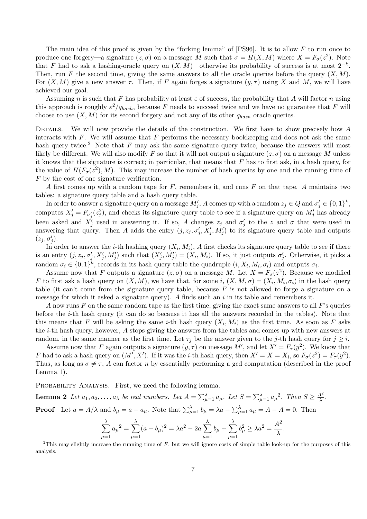The main idea of this proof is given by the "forking lemma" of  $[PS96]$ . It is to allow  $F$  to run once to produce one forgery—a signature  $(z, \sigma)$  on a message M such that  $\sigma = H(X, M)$  where  $X = F_{\sigma}(z^2)$ . Note that F had to ask a hashing-oracle query on  $(X, M)$ —otherwise its probability of success is at most  $2^{-k}$ . Then, run F the second time, giving the same answers to all the oracle queries before the query  $(X, M)$ . For  $(X, M)$  give a new answer  $\tau$ . Then, if F again forges a signature  $(y, \tau)$  using X and M, we will have achieved our goal.

Assuming n is such that F has probability at least  $\varepsilon$  of success, the probability that A will factor n using this approach is roughly  $\varepsilon^2/q_{hash}$ , because F needs to succeed twice and we have no guarantee that F will choose to use  $(X, M)$  for its second forgery and not any of its other  $q_{hash}$  oracle queries.

DETAILS. We will now provide the details of the construction. We first have to show precisely how  $A$ interacts with  $F$ . We will assume that  $F$  performs the necessary bookkeeping and does not ask the same hash query twice.<sup>2</sup> Note that  $F$  may ask the same signature query twice, because the answers will most likely be different. We will also modify F so that it will not output a signature  $(z, \sigma)$  on a message M unless it knows that the signature is correct; in particular, that means that  $F$  has to first ask, in a hash query, for the value of  $H(F_{\sigma}(z^2), M)$ . This may increase the number of hash queries by one and the running time of F by the cost of one signature verification.

A first comes up with a random tape for  $F$ , remembers it, and runs  $F$  on that tape. A maintains two tables: a signature query table and a hash query table.

In order to answer a signature query on a message  $M'_j$ , A comes up with a random  $z_j \in Q$  and  $\sigma'_j \in \{0,1\}^k$ , computes  $X'_j = F_{\sigma'_i}(z_j^2)$ , and checks its signature query table to see if a signature query on  $M'_j$  has already been asked and  $X'_j$  used in answering it. If so, A changes  $z_j$  and  $\sigma'_j$  $j'$  to the z and  $\sigma$  that were used in answering that query. Then A adds the entry  $(j, z_j, \sigma'_j, X'_j, M'_j)$  to its signature query table and outputs  $(z_j, \sigma'_j).$ 

In order to answer the *i*-th hashing query  $(X_i, M_i)$ , A first checks its signature query table to see if there is an entry  $(j, z_j, \sigma'_j, X'_j, M'_j)$  such that  $(X'_j, M'_j) = (X_i, M_i)$ . If so, it just outputs  $\sigma'_j$  $'j$ . Otherwise, it picks a random  $\sigma_i \in \{0,1\}^k$ , records in its hash query table the quadruple  $(i, X_i, M_i, \sigma_i)$  and outputs  $\sigma_i$ .

Assume now that F outputs a signature  $(z, \sigma)$  on a message M. Let  $X = F_{\sigma}(z^2)$ . Because we modified F to first ask a hash query on  $(X, M)$ , we have that, for some  $i, (X, M, \sigma) = (X_i, M_i, \sigma_i)$  in the hash query table (it can't come from the signature query table, because  $F$  is not allowed to forge a signature on a message for which it asked a signature query). A finds such an  $i$  in its table and remembers it.

A now runs  $F$  on the same random tape as the first time, giving the exact same answers to all  $F$ 's queries before the i-th hash query (it can do so because it has all the answers recorded in the tables). Note that this means that F will be asking the same *i*-th hash query  $(X_i, M_i)$  as the first time. As soon as F asks the i-th hash query, however, A stops giving the answers from the tables and comes up with new answers at random, in the same manner as the first time. Let  $\tau_i$  be the answer given to the j-th hash query for  $j \geq i$ .

Assume now that F again outputs a signature  $(y, \tau)$  on message  $\tilde{M}'$ , and let  $X' = F_\tau(y^2)$ . We know that F had to ask a hash query on  $(M', X')$ . If it was the *i*-th hash query, then  $X' = X = X_i$ , so  $F_{\sigma}(z^2) = F_{\tau}(y^2)$ . Thus, as long as  $\sigma \neq \tau$ , A can factor n by essentially performing a gcd computation (described in the proof Lemma 1).

PROBABILITY ANALYSIS. First, we need the following lemma.

**Lemma 2** Let 
$$
a_1, a_2, ..., a_{\lambda}
$$
 be real numbers. Let  $A = \sum_{\mu=1}^{\lambda} a_{\mu}$ . Let  $S = \sum_{\mu=1}^{\lambda} a_{\mu}^2$ . Then  $S \ge \frac{A^2}{\lambda}$ .  
**Proof** Let  $a = A/\lambda$  and  $b_{\mu} = a - a_{\mu}$ . Note that  $\sum_{\mu=1}^{\lambda} b_{\mu} = \lambda a - \sum_{\mu=1}^{\lambda} a_{\mu} = A - A = 0$ . Then

$$
\sum_{\mu=1}^{\lambda} a_{\mu}^{2} = \sum_{\mu=1}^{\lambda} (a - b_{\mu})^{2} = \lambda a^{2} - 2a \sum_{\mu=1}^{\lambda} b_{\mu} + \sum_{\mu=1}^{\lambda} b_{\mu}^{2} \ge \lambda a^{2} = \frac{A^{2}}{\lambda}.
$$

<sup>&</sup>lt;sup>2</sup>This may slightly increase the running time of F, but we will ignore costs of simple table look-up for the purposes of this analysis.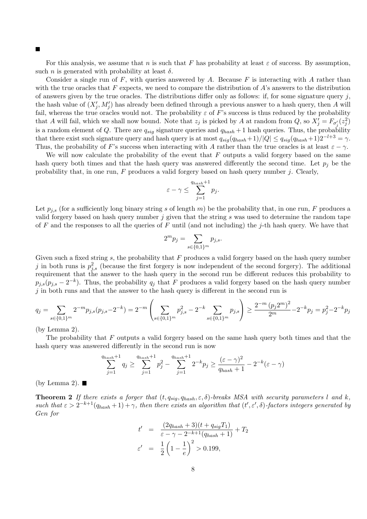П

For this analysis, we assume that n is such that F has probability at least  $\varepsilon$  of success. By assumption, such *n* is generated with probability at least  $\delta$ .

Consider a single run of  $F$ , with queries answered by A. Because  $F$  is interacting with A rather than with the true oracles that  $F$  expects, we need to compare the distribution of  $A$ 's answers to the distribution of answers given by the true oracles. The distributions differ only as follows: if, for some signature query j, the hash value of  $(X'_j, M'_j)$  has already been defined through a previous answer to a hash query, then A will fail, whereas the true oracles would not. The probability  $\varepsilon$  of F's success is thus reduced by the probability that A will fail, which we shall now bound. Note that  $z_j$  is picked by A at random from  $Q$ , so  $X'_j = F_{\sigma'_j}(z_j^2)$ is a random element of Q. There are  $q_{sig}$  signature queries and  $q_{hash} + 1$  hash queries. Thus, the probability that there exist such signature query and hash query is at most  $q_{sia}(q_{hash}+1)/|Q| \leq q_{sia}(q_{hash}+1)2^{-l+3} = \gamma$ . Thus, the probability of F's success when interacting with A rather than the true oracles is at least  $\varepsilon - \gamma$ .

We will now calculate the probability of the event that  $F$  outputs a valid forgery based on the same hash query both times and that the hash query was answered differently the second time. Let  $p_i$  be the probability that, in one run,  $F$  produces a valid forgery based on hash query number  $j$ . Clearly,

$$
\varepsilon - \gamma \le \sum_{j=1}^{q_{hash}+1} p_j.
$$

Let  $p_{i,s}$  (for a sufficiently long binary string s of length m) be the probability that, in one run, F produces a valid forgery based on hash query number  $j$  given that the string  $s$  was used to determine the random tape of  $F$  and the responses to all the queries of  $F$  until (and not including) the j-th hash query. We have that

$$
2^m p_j = \sum_{s \in \{0,1\}^m} p_{j,s}.
$$

Given such a fixed string s, the probability that  $F$  produces a valid forgery based on the hash query number j in both runs is  $p_{j,s}^2$  (because the first forgery is now independent of the second forgery). The additional requirement that the answer to the hash query in the second run be different reduces this probability to  $p_{j,s}(p_{j,s}-2^{-k})$ . Thus, the probability  $q_j$  that F produces a valid forgery based on the hash query number  $j$  in both runs and that the answer to the hash query is different in the second run is

$$
q_j = \sum_{s \in \{0,1\}^m} 2^{-m} p_{j,s}(p_{j,s} - 2^{-k}) = 2^{-m} \left( \sum_{s \in \{0,1\}^m} p_{j,s}^2 - 2^{-k} \sum_{s \in \{0,1\}^m} p_{j,s} \right) \ge \frac{2^{-m} (p_j 2^m)^2}{2^m} - 2^{-k} p_j = p_j^2 - 2^{-k} p_j
$$

(by Lemma 2).

The probability that  $F$  outputs a valid forgery based on the same hash query both times and that the hash query was answered differently in the second run is now

$$
\sum_{j=1}^{q_{hash}+1} q_j \ge \sum_{j=1}^{q_{hash}+1} p_j^2 - \sum_{j=1}^{q_{hash}+1} 2^{-k} p_j \ge \frac{(\varepsilon - \gamma)^2}{q_{hash}+1} - 2^{-k}(\varepsilon - \gamma)
$$

(by Lemma 2).  $\blacksquare$ 

**Theorem 2** If there exists a forger that  $(t, q_{sig}, q_{hash}, \varepsilon, \delta)$ -breaks MSA with security parameters l and k, such that  $\varepsilon > 2^{-k+1}(q_{hash}+1) + \gamma$ , then there exists an algorithm that  $(t', \varepsilon', \delta)$ -factors integers generated by Gen for

$$
t' = \frac{(2q_{hash} + 3)(t + q_{sig}T_1)}{\varepsilon - \gamma - 2^{-k+1}(q_{hash} + 1)} + T_2
$$
  

$$
\varepsilon' = \frac{1}{2} \left( 1 - \frac{1}{e} \right)^2 > 0.199,
$$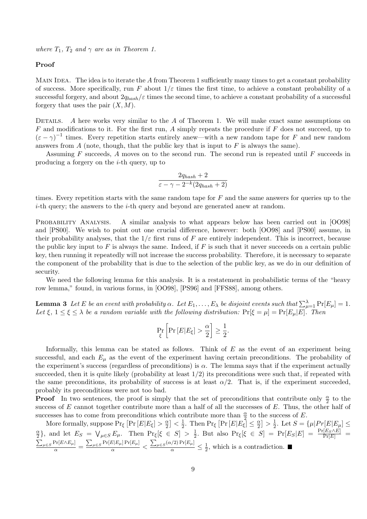where  $T_1$ ,  $T_2$  and  $\gamma$  are as in Theorem 1.

### Proof

MAIN IDEA. The idea is to iterate the A from Theorem 1 sufficiently many times to get a constant probability of success. More specifically, run F about  $1/\varepsilon$  times the first time, to achieve a constant probability of a successful forgery, and about  $2q_{hash}/\varepsilon$  times the second time, to achieve a constant probability of a successful forgery that uses the pair  $(X, M)$ .

DETAILS. A here works very similar to the A of Theorem 1. We will make exact same assumptions on  $F$  and modifications to it. For the first run,  $A$  simply repeats the procedure if  $F$  does not succeed, up to  $(\varepsilon - \gamma)^{-1}$  times. Every repetition starts entirely anew—with a new random tape for F and new random answers from  $A$  (note, though, that the public key that is input to  $F$  is always the same).

Assuming  $F$  succeeds,  $A$  moves on to the second run. The second run is repeated until  $F$  succeeds in producing a forgery on the  $i$ -th query, up to

$$
\frac{2q_{hash} + 2}{\varepsilon - \gamma - 2^{-k}(2q_{hash} + 2)}
$$

times. Every repetition starts with the same random tape for  $F$  and the same answers for queries up to the  $i$ -th query; the answers to the  $i$ -th query and beyond are generated anew at random.

PROBABILITY ANALYSIS. A similar analysis to what appears below has been carried out in [OO98] and [PS00]. We wish to point out one crucial difference, however: both [OO98] and [PS00] assume, in their probability analyses, that the  $1/\varepsilon$  first runs of F are entirely independent. This is incorrect, because the public key input to F is always the same. Indeed, if F is such that it never succeeds on a certain public key, then running it repeatedly will not increase the success probability. Therefore, it is necessary to separate the component of the probability that is due to the selection of the public key, as we do in our definition of security.

We need the following lemma for this analysis. It is a restatement in probabilistic terms of the "heavy row lemma," found, in various forms, in [OO98], [PS96] and [FFS88], among others.

**Lemma 3** Let E be an event with probability  $\alpha$ . Let  $E_1,\ldots,E_\lambda$  be disjoint events such that  $\sum_{\mu=1}^\lambda \Pr[E_\mu]=1$ . Let  $\xi$ ,  $1 \leq \xi \leq \lambda$  be a random variable with the following distribution:  $Pr[\xi = \mu] = Pr[E_{\mu}|E]$ . Then

$$
\Pr_{\xi} \left[ \Pr \left[ E | E_{\xi} \right] > \frac{\alpha}{2} \right] \ge \frac{1}{2}.
$$

Informally, this lemma can be stated as follows. Think of  $E$  as the event of an experiment being successful, and each  $E_{\mu}$  as the event of the experiment having certain preconditions. The probability of the experiment's success (regardless of preconditions) is  $\alpha$ . The lemma says that if the experiment actually succeeded, then it is quite likely (probability at least  $1/2$ ) its preconditions were such that, if repeated with the same preconditions, its probability of success is at least  $\alpha/2$ . That is, if the experiment succeeded, probably its preconditions were not too bad.

**Proof** In two sentences, the proof is simply that the set of preconditions that contribute only  $\frac{\alpha}{2}$  to the success of  $E$  cannot together contribute more than a half of all the successes of  $E$ . Thus, the other half of successes has to come from preconditions which contribute more than  $\frac{\alpha}{2}$  to the success of E.

More formally, suppose  $Pr_{\xi} [Pr [E|E_{\xi}] > \frac{\alpha}{2}] < \frac{1}{2}$ . Then  $Pr_{\xi} [Pr [E|E_{\xi}]$  $\frac{\alpha}{2}$  |  $\lt \frac{1}{2}$  $\frac{1}{2}$ . Then  $\Pr_{\xi} [\Pr[E|E_{\xi}] \leq \frac{\alpha}{2}$  $\frac{\alpha}{2}] > \frac{1}{2}$  $\frac{1}{2}$ . Let  $S = {\mu |Pr[E|E_{\mu}] \le \frac{1}{2}}$ α  $\frac{\alpha}{2}$ , and let  $E_S = \bigvee_{\mu \in S} E_{\mu}$ . Then  $\Pr_{\xi}[\xi \in S] > \frac{1}{2}$  $\frac{1}{2}$ . But also  $\Pr[\xi \in S] = \Pr[E_S|E] = \frac{\Pr[E_S \wedge E]}{\Pr[E]} =$  $\frac{\sum_{\mu \in S} \Pr[E \wedge E_{\mu}]}{\alpha} = \frac{\sum_{\mu \in S} \Pr[E|E_{\mu}] \Pr[E_{\mu}]}{\alpha} < \frac{\sum_{\mu \in S} (\alpha/2) \Pr[E_{\mu}]}{\alpha} \le \frac{1}{2}$  $\frac{1}{2}$ , which is a contradiction.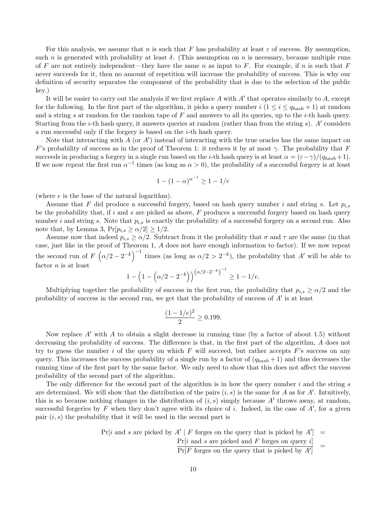For this analysis, we assume that n is such that F has probability at least  $\varepsilon$  of success. By assumption, such n is generated with probability at least  $\delta$ . (This assumption on n is necessary, because multiple runs of F are not entirely independent—they have the same n as input to F. For example, if n is such that F never succeeds for it, then no amount of repetition will increase the probability of success. This is why our definition of security separates the component of the probability that is due to the selection of the public key.)

It will be easier to carry out the analysis if we first replace A with A' that operates similarly to A, except for the following. In the first part of the algorithm, it picks a query number  $i$   $(1 \le i \le q_{hash} + 1)$  at random and a string s at random for the random tape of F and answers to all its queries, up to the *i*-th hash query. Starting from the *i*-th hash query, it answers queries at random (rather than from the string  $s$ ). A' considers a run successful only if the forgery is based on the i-th hash query.

Note that interacting with  $\tilde{A}$  (or  $A'$ ) instead of interacting with the true oracles has the same impact on F's probability of success as in the proof of Theorem 1: it reduces it by at most  $\gamma$ . The probability that F succeeds in producing a forgery in a single run based on the *i*-th hash query is at least  $\alpha = (\varepsilon - \gamma)/(q_{hash}+1)$ . If we now repeat the first run  $\alpha^{-1}$  times (as long as  $\alpha > 0$ ), the probability of a successful forgery is at least

$$
1 - (1 - \alpha)^{\alpha^{-1}} \ge 1 - 1/e
$$

(where e is the base of the natural logarithm).

Assume that F did produce a successful forgery, based on hash query number i and string s. Let  $p_{i,s}$ be the probability that, if i and s are picked as above,  $F$  produces a successful forgery based on hash query number i and string s. Note that  $p_{i,s}$  is exactly the probability of a successful forgery on a second run. Also note that, by Lemma 3,  $Pr[p_{i,s} \ge \alpha/2] \ge 1/2$ .

Assume now that indeed  $p_{i,s} \ge \alpha/2$ . Subtract from it the probability that  $\sigma$  and  $\tau$  are the same (in that case, just like in the proof of Theorem 1, A does not have enough information to factor). If we now repeat the second run of  $F\left(\alpha/2 - 2^{-k}\right)^{-1}$  times (as long as  $\alpha/2 > 2^{-k}$ ), the probability that A' will be able to factor  $n$  is at least

$$
1 - \left(1 - \left(\alpha/2 - 2^{-k}\right)\right)^{\left(\alpha/2 - 2^{-k}\right)^{-1}} \ge 1 - 1/e.
$$

Multiplying together the probability of success in the first run, the probability that  $p_{i,s} \ge \alpha/2$  and the probability of success in the second run, we get that the probability of success of  $A'$  is at least

$$
\frac{(1-1/e)^2}{2} \ge 0.199.
$$

Now replace  $A'$  with A to obtain a slight decrease in running time (by a factor of about 1.5) without decreasing the probability of success. The difference is that, in the first part of the algorithm, A does not try to guess the number i of the query on which  $F$  will succeed, but rather accepts  $F$ 's success on any query. This increases the success probability of a single run by a factor of  $(q_{hash} + 1)$  and thus decreases the running time of the first part by the same factor. We only need to show that this does not affect the success probability of the second part of the algorithm.

The only difference for the second part of the algorithm is in how the query number  $i$  and the string  $s$ are determined. We will show that the distribution of the pairs  $(i, s)$  is the same for A as for A'. Intuitively, this is so because nothing changes in the distribution of  $(i, s)$  simply because A' throws away, at random, successful forgeries by F when they don't agree with its choice of i. Indeed, in the case of  $A'$ , for a given pair  $(i, s)$  the probability that it will be used in the second part is

 $Pr[i \text{ and } s \text{ are picked by } A' | F \text{ forges on the query that is picked by } A'] =$ 

 $Pr[i \text{ and } s \text{ are picked and } F \text{ forges on query } i]$ =

 $Pr[F]$  forges on the query that is picked by  $A'$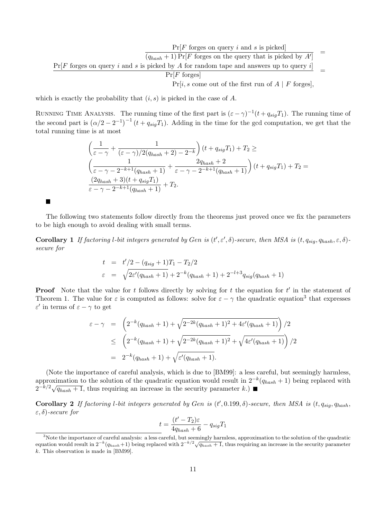$Pr[F]$  forges on query i and s is picked  $\overline{(q_{hash} + 1) \Pr[F]}$  forges on the query that is picked by  $A'$ =  $\frac{\Pr[F \text{ forges on query } i \text{ and } s \text{ is picked by } A \text{ for random tape and answers up to query } i]}{\Pr[F \text{ forges}]}$ 

 $Pr[i, s]$  come out of the first run of  $A \mid F$  forges],

which is exactly the probability that  $(i, s)$  is picked in the case of A.

×

RUNNING TIME ANALYSIS. The running time of the first part is  $(\varepsilon - \gamma)^{-1}(t + q_{sig}T_1)$ . The running time of the second part is  $(\alpha/2 - 2^{-1})^{-1} (t + q_{sig}T_1)$ . Adding in the time for the gcd computation, we get that the total running time is at most

$$
\left(\frac{1}{\varepsilon-\gamma} + \frac{1}{(\varepsilon-\gamma)/2(q_{hash}+2) - 2^{-k}}\right)(t + q_{sig}T_1) + T_2 \ge
$$
\n
$$
\left(\frac{1}{\varepsilon-\gamma-2^{-k+1}(q_{hash}+1)} + \frac{2q_{hash}+2}{\varepsilon-\gamma-2^{-k+1}(q_{hash}+1)}\right)(t + q_{sig}T_1) + T_2 = \frac{(2q_{hash}+3)(t + q_{sig}T_1)}{\varepsilon-\gamma-2^{-k+1}(q_{hash}+1)} + T_2.
$$

The following two statements follow directly from the theorems just proved once we fix the parameters to be high enough to avoid dealing with small terms.

**Corollary 1** If factoring l-bit integers generated by Gen is  $(t', \varepsilon', \delta)$ -secure, then MSA is  $(t, q_{sig}, q_{hash}, \varepsilon, \delta)$ secure for

$$
t = t'/2 - (q_{sig} + 1)T_1 - T_2/2
$$
  
\n
$$
\varepsilon = \sqrt{2\varepsilon'(q_{hash} + 1)} + 2^{-k}(q_{hash} + 1) + 2^{-l+3}q_{sig}(q_{hash} + 1)
$$

**Proof** Note that the value for t follows directly by solving for t the equation for  $t'$  in the statement of Theorem 1. The value for  $\varepsilon$  is computed as follows: solve for  $\varepsilon - \gamma$  the quadratic equation<sup>3</sup> that expresses  $\varepsilon'$  in terms of  $\varepsilon - \gamma$  to get

$$
\varepsilon - \gamma = \left( 2^{-k} (q_{hash} + 1) + \sqrt{2^{-2k} (q_{hash} + 1)^2 + 4\varepsilon' (q_{hash} + 1)} \right) / 2
$$
  
\n
$$
\leq \left( 2^{-k} (q_{hash} + 1) + \sqrt{2^{-2k} (q_{hash} + 1)^2} + \sqrt{4\varepsilon' (q_{hash} + 1)} \right) / 2
$$
  
\n
$$
= 2^{-k} (q_{hash} + 1) + \sqrt{\varepsilon' (q_{hash} + 1)}.
$$

(Note the importance of careful analysis, which is due to [BM99]: a less careful, but seemingly harmless, approximation to the solution of the quadratic equation would result in  $2^{-k}(q_{hash} + 1)$  being replaced with approximation to the solution of the quadratic equation would result in  $2^{-k/2}\sqrt{q_{hash}+1}$ , thus requiring an increase in the security parameter k.)

Corollary 2 If factoring l-bit integers generated by Gen is  $(t',0.199,\delta)$ -secure, then MSA is  $(t, q_{sig}, q_{hash},$  $\varepsilon$ ,  $\delta$ )-secure for

$$
t = \frac{(t' - T_2)\varepsilon}{4q_{hash} + 6} - q_{sig}T_1
$$

<sup>&</sup>lt;sup>3</sup>Note the importance of careful analysis: a less careful, but seemingly harmless, approximation to the solution of the quadratic Wote the importance of careful analysis: a less careful, but seemingly harmless, approximation to the solution of the quadratic equation would result in  $2^{-k}(q_{hash}+1)$  being replaced with  $2^{-k/2}\sqrt{q_{hash}+1}$ , thus requiring k. This observation is made in [BM99].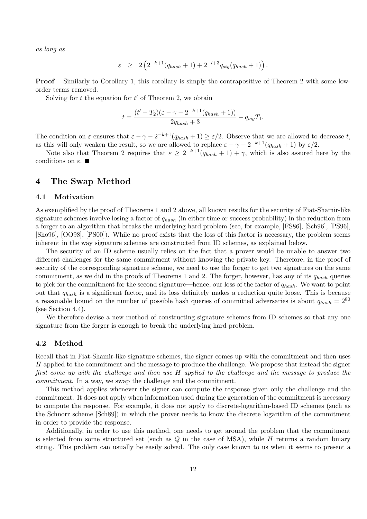as long as

$$
\varepsilon \geq 2\left(2^{-k+1}(q_{hash} + 1) + 2^{-l+3}q_{sig}(q_{hash} + 1)\right).
$$

Proof Similarly to Corollary 1, this corollary is simply the contrapositive of Theorem 2 with some loworder terms removed.

Solving for  $t$  the equation for  $t'$  of Theorem 2, we obtain

$$
t = \frac{(t'-T_2)(\varepsilon - \gamma - 2^{-k+1}(q_{hash} + 1))}{2q_{hash} + 3} - q_{sig}T_1.
$$

The condition on  $\varepsilon$  ensures that  $\varepsilon - \gamma - 2^{-k+1}(q_{hash} + 1) \geq \varepsilon/2$ . Observe that we are allowed to decrease t, as this will only weaken the result, so we are allowed to replace  $\varepsilon - \gamma - 2^{-k+1}(q_{hash} + 1)$  by  $\varepsilon/2$ .

Note also that Theorem 2 requires that  $\varepsilon \geq 2^{-k+1}(q_{hash} + 1) + \gamma$ , which is also assured here by the conditions on  $\varepsilon$ .

### 4 The Swap Method

#### 4.1 Motivation

As exemplified by the proof of Theorems 1 and 2 above, all known results for the security of Fiat-Shamir-like signature schemes involve losing a factor of  $q_{hash}$  (in either time or success probability) in the reduction from a forger to an algorithm that breaks the underlying hard problem (see, for example, [FS86], [Sch96], [PS96], [Sho96], [OO98], [PS00]). While no proof exists that the loss of this factor is necessary, the problem seems inherent in the way signature schemes are constructed from ID schemes, as explained below.

The security of an ID scheme usually relies on the fact that a prover would be unable to answer two different challenges for the same commitment without knowing the private key. Therefore, in the proof of security of the corresponding signature scheme, we need to use the forger to get two signatures on the same commitment, as we did in the proofs of Theorems 1 and 2. The forger, however, has any of its  $q_{hash}$  queries to pick for the commitment for the second signature—hence, our loss of the factor of  $q_{hash}$ . We want to point out that  $q_{hash}$  is a significant factor, and its loss definitely makes a reduction quite loose. This is because a reasonable bound on the number of possible hash queries of committed adversaries is about  $q_{hash} = 2^{80}$ (see Section 4.4).

We therefore devise a new method of constructing signature schemes from ID schemes so that any one signature from the forger is enough to break the underlying hard problem.

#### 4.2 Method

Recall that in Fiat-Shamir-like signature schemes, the signer comes up with the commitment and then uses H applied to the commitment and the message to produce the challenge. We propose that instead the signer first come up with the challenge and then use H applied to the challenge and the message to produce the commitment. In a way, we swap the challenge and the commitment.

This method applies whenever the signer can compute the response given only the challenge and the commitment. It does not apply when information used during the generation of the commitment is necessary to compute the response. For example, it does not apply to discrete-logarithm-based ID schemes (such as the Schnorr scheme [Sch89]) in which the prover needs to know the discrete logarithm of the commitment in order to provide the response.

Additionally, in order to use this method, one needs to get around the problem that the commitment is selected from some structured set (such as  $Q$  in the case of MSA), while  $H$  returns a random binary string. This problem can usually be easily solved. The only case known to us when it seems to present a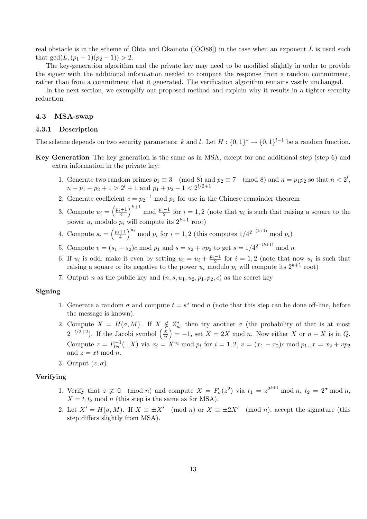real obstacle is in the scheme of Ohta and Okamoto ( $[OOS8]$ ) in the case when an exponent L is used such that  $gcd(L,(p_1-1)(p_2-1)) > 2$ .

The key-generation algorithm and the private key may need to be modified slightly in order to provide the signer with the additional information needed to compute the response from a random commitment, rather than from a commitment that it generated. The verification algorithm remains vastly unchanged.

In the next section, we exemplify our proposed method and explain why it results in a tighter security reduction.

#### 4.3 MSA-swap

#### 4.3.1 Description

The scheme depends on two security parameters: k and l. Let  $H: \{0,1\}^* \to \{0,1\}^{l-1}$  be a random function.

- Key Generation The key generation is the same as in MSA, except for one additional step (step 6) and extra information in the private key:
	- 1. Generate two random primes  $p_1 \equiv 3 \pmod{8}$  and  $p_2 \equiv 7 \pmod{8}$  and  $n = p_1p_2$  so that  $n < 2^l$ ,  $n-p_1-p_2+1 > 2^l+1$  and  $p_1+p_2-1 < 2^{l/2+1}$
	- 2. Generate coefficient  $c = p_2^{-1} \mod p_1$  for use in the Chinese remainder theorem
	- 3. Compute  $u_i = \left(\frac{p_i+1}{4}\right)^{k+1}$  mod  $\frac{p_i-1}{2}$  for  $i=1,2$  (note that  $u_i$  is such that raising a square to the power  $u_i$  modulo  $p_i$  will compute its  $2^{k+1}$  root)
	- 4. Compute  $s_i = \left(\frac{p_i+1}{4}\right)^{u_i} \mod p_i$  for  $i=1,2$  (this computes  $1/4^{2^{-(k+1)}} \mod p_i$ )
	- 5. Compute  $v = (s_1 s_2)c \mod p_1$  and  $s = s_2 + vp_2$  to get  $s = 1/4^{2^{-(k+1)}} \mod n$
	- 6. If  $u_i$  is odd, make it even by setting  $u_i = u_i + \frac{p_i-1}{2}$  for  $i = 1, 2$  (note that now  $u_i$  is such that raising a square or its negative to the power  $u_i$  modulo  $p_i$  will compute its  $2^{k+1}$  root)
	- 7. Output *n* as the public key and  $(n, s, u_1, u_2, p_1, p_2, c)$  as the secret key

#### Signing

- 1. Generate a random  $\sigma$  and compute  $t = s^{\sigma}$  mod n (note that this step can be done off-line, before the message is known).
- 2. Compute  $X = H(\sigma, M)$ . If  $X \notin Z_n^*$  $_n^*$ , then try another  $\sigma$  (the probability of that is at most  $2^{-l/2+2}$ ). If the Jacobi symbol  $\left(\frac{X}{n}\right)$  $\left(\frac{X}{n}\right) = -1$ , set  $X = 2X \mod n$ . Now either X or  $n - X$  is in Q. Compute  $z = F_{0\sigma}^{-1}(\pm X)$  via  $x_i = X^{u_i} \mod p_i$  for  $i = 1, 2, v = (x_1 - x_2)c \mod p_1$ ,  $x = x_2 + vp_2$ and  $z = xt \mod n$ .
- 3. Output  $(z, \sigma)$ .

#### Verifying

- 1. Verify that  $z \neq 0 \pmod{n}$  and compute  $X = F_{\sigma}(z^2)$  via  $t_1 = z^{2^{k+1}} \bmod n$ ,  $t_2 = 2^{\sigma} \bmod n$ ,  $X = t_1 t_2 \text{ mod } n$  (this step is the same as for MSA).
- 2. Let  $X' = H(\sigma, M)$ . If  $X \equiv \pm X' \pmod{n}$  or  $X \equiv \pm 2X' \pmod{n}$ , accept the signature (this step differs slightly from MSA).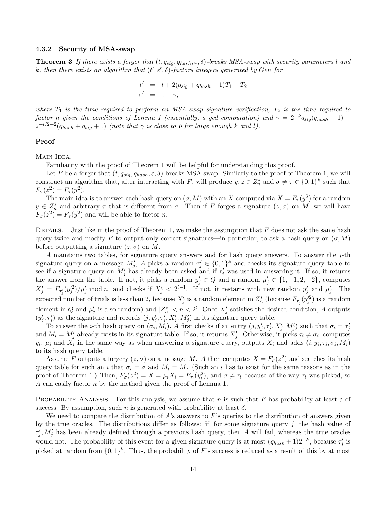#### 4.3.2 Security of MSA-swap

**Theorem 3** If there exists a forger that  $(t, q_{sig}, q_{hash}, \varepsilon, \delta)$ -breaks MSA-swap with security parameters l and k, then there exists an algorithm that  $(t', \varepsilon', \delta)$ -factors integers generated by Gen for

$$
t' = t + 2(q_{sig} + q_{hash} + 1)T_1 + T_2
$$
  

$$
\varepsilon' = \varepsilon - \gamma,
$$

where  $T_1$  is the time required to perform an MSA-swap signature verification,  $T_2$  is the time required to factor n given the conditions of Lemma 1 (essentially, a gcd computation) and  $\gamma = 2^{-k}q_{sig}(q_{hash} + 1) +$  $\tilde{Q}^{-l/2+2}(q_{hash} + q_{sig} + 1)$  (note that  $\gamma$  is close to 0 for large enough k and l).

#### Proof

MAIN IDEA.

Familiarity with the proof of Theorem 1 will be helpful for understanding this proof.

Let F be a forger that  $(t, q_{\text{sig}}, q_{\text{hash}}, \varepsilon, \delta)$ -breaks MSA-swap. Similarly to the proof of Theorem 1, we will construct an algorithm that, after interacting with F, will produce  $y, z \in Z_n^*$  and  $\sigma \neq \tau \in \{0,1\}^k$  such that  $F_{\sigma}(z^2) = F_{\tau}(y^2).$ 

The main idea is to answer each hash query on  $(\sigma, M)$  with an X computed via  $X = F_{\tau}(y^2)$  for a random  $y \in Z_n^*$  and arbitrary  $\tau$  that is different from  $\sigma$ . Then if F forges a signature  $(z, \sigma)$  on M, we will have  $F_{\sigma}(z^2) = F_{\tau}(y^2)$  and will be able to factor n.

DETAILS. Just like in the proof of Theorem 1, we make the assumption that  $F$  does not ask the same hash query twice and modify F to output only correct signatures—in particular, to ask a hash query on  $(\sigma, M)$ before outputting a signature  $(z, \sigma)$  on M.

A maintains two tables, for signature query answers and for hash query answers. To answer the j-th signature query on a message  $M'_j$ , A picks a random  $\tau'_j \in \{0,1\}^k$  and checks its signature query table to see if a signature query on  $M'_j$  has already been asked and if  $\tau'_j$  was used in answering it. If so, it returns the answer from the table. If not, it picks a random  $y'_j \in Q$  and a random  $\mu'_j \in \{1, -1, 2, -2\}$ , computes  $X_j' = F_{\tau_j'}(y_j'^2)/\mu_j'$  mod n, and checks if  $X_j' < 2^{l-1}$ . If not, it restarts with new random  $y_j'$  $\mu'_j$  and  $\mu'_j$  $'_{j}$ . The expected number of trials is less than 2, because  $X'_{j}$  is a random element in  $Z_{n}^{*}$  $\int_{r_1}^*$  (because  $F_{\tau'_j}(y'^2_j)$  is a random element in Q and  $\mu'$  $'_{j}$  is also random) and  $|Z_{n}^{*}|$  $|n| < n < 2^l$ . Once  $X'_j$  satisfies the desired condition, A outputs  $(y_i')$  $(j, \tau'_j, \tau'_j)$  as the signature and records  $(j, y'_j, \tau''_j, X'_j, M'_j)$  in its signature query table.

To answer the *i*-th hash query on  $(\sigma_i, M_i)$ , A first checks if an entry  $(j, y'_j, \tau'_j, X'_j, M'_j)$  such that  $\sigma_i = \tau'_j$ j and  $M_i = M'_j$  already exists in its signature table. If so, it returns  $X'_j$ . Otherwise, it picks  $\tau_i \neq \sigma_i$ , computes  $y_i$ ,  $\mu_i$  and  $X_i$  in the same way as when answering a signature query, outputs  $X_i$  and adds  $(i, y_i, \tau_i, \sigma_i, M_i)$ to its hash query table.

Assume F outputs a forgery  $(z, \sigma)$  on a message M. A then computes  $X = F_{\sigma}(z^2)$  and searches its hash query table for such an i that  $\sigma_i = \sigma$  and  $M_i = M$ . (Such an i has to exist for the same reasons as in the proof of Theorem 1.) Then,  $F_{\sigma}(z^2) = X = \mu_i X_i = F_{\tau_i}(y_i^2)$ , and  $\sigma \neq \tau_i$  because of the way  $\tau_i$  was picked, so A can easily factor  $n$  by the method given the proof of Lemma 1.

PROBABILITY ANALYSIS. For this analysis, we assume that n is such that F has probability at least  $\varepsilon$  of success. By assumption, such n is generated with probability at least  $\delta$ .

We need to compare the distribution of  $A$ 's answers to F's queries to the distribution of answers given by the true oracles. The distributions differ as follows: if, for some signature query  $j$ , the hash value of  $\tau_i^{\prime}$  $j, M'_j$  has been already defined through a previous hash query, then A will fail, whereas the true oracles would not. The probability of this event for a given signature query is at most  $(q_{hash} + 1)2^{-k}$ , because  $\tau'_{j}$  $'_{j}$  is picked at random from  $\{0,1\}^k$ . Thus, the probability of F's success is reduced as a result of this by at most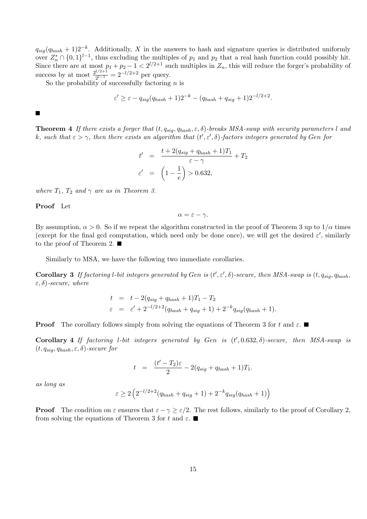$q_{sig}(q_{hash} + 1)2^{-k}$ . Additionally, X in the answers to hash and signature queries is distributed uniformly over  $Z_n^* \cap \{0,1\}^{l-1}$ , thus excluding the multiples of  $p_1$  and  $p_2$  that a real hash function could possibly hit. Since there are at most  $p_1 + p_2 - 1 < 2^{l/2+1}$  such multiples in  $Z_n$ , this will reduce the forger's probability of success by at most  $\frac{2^{l/2+1}}{2^{l-1}}$  $\frac{1}{2^{l-1}} = 2^{-l/2+2}$  per query.

So the probability of successfully factoring  $n$  is

$$
\varepsilon' \geq \varepsilon - q_{sig}(q_{hash} + 1)2^{-k} - (q_{hash} + q_{sig} + 1)2^{-l/2+2}.
$$

#### Г

**Theorem 4** If there exists a forger that  $(t, q_{sig}, q_{hash}, \varepsilon, \delta)$ -breaks MSA-swap with security parameters l and k, such that  $\varepsilon > \gamma$ , then there exists an algorithm that  $(t', \varepsilon', \delta)$ -factors integers generated by Gen for

$$
t' = \frac{t + 2(q_{sig} + q_{hash} + 1)T_1}{\varepsilon - \gamma} + T_2
$$

$$
\varepsilon' = \left(1 - \frac{1}{e}\right) > 0.632,
$$

where  $T_1$ ,  $T_2$  and  $\gamma$  are as in Theorem 3.

Proof Let

$$
\alpha = \varepsilon - \gamma.
$$

By assumption,  $\alpha > 0$ . So if we repeat the algorithm constructed in the proof of Theorem 3 up to  $1/\alpha$  times (except for the final gcd computation, which need only be done once), we will get the desired  $\varepsilon'$ , similarly to the proof of Theorem 2.  $\blacksquare$ 

Similarly to MSA, we have the following two immediate corollaries.

**Corollary 3** If factoring l-bit integers generated by Gen is  $(t', \varepsilon', \delta)$ -secure, then MSA-swap is  $(t, q_{sig}, q_{hash},$  $(\varepsilon, \delta)$ -secure, where

$$
t = t - 2(q_{sig} + q_{hash} + 1)T_1 - T_2
$$
  
\n
$$
\varepsilon = \varepsilon' + 2^{-l/2+2}(q_{hash} + q_{sig} + 1) + 2^{-k}q_{sig}(q_{hash} + 1).
$$

**Proof** The corollary follows simply from solving the equations of Theorem 3 for t and  $\varepsilon$ .

Corollary 4 If factoring l-bit integers generated by Gen is  $(t', 0.632, \delta)$ -secure, then MSA-swap is  $(t, q_{sia}, q_{hash}, \varepsilon, \delta)$ -secure for

$$
t = \frac{(t'-T_2)\varepsilon}{2} - 2(q_{sig} + q_{hash} + 1)T_1.
$$

as long as

$$
\varepsilon \ge 2\left(2^{-l/2+2}(q_{hash} + q_{sig} + 1) + 2^{-k}q_{sig}(q_{hash} + 1)\right)
$$

**Proof** The condition on  $\varepsilon$  ensures that  $\varepsilon - \gamma \geq \varepsilon/2$ . The rest follows, similarly to the proof of Corollary 2, from solving the equations of Theorem 3 for t and  $\varepsilon$ .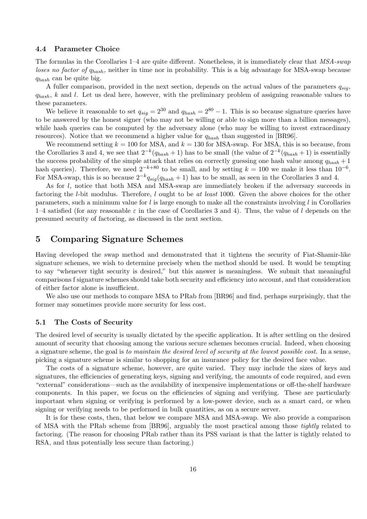#### 4.4 Parameter Choice

The formulas in the Corollaries 1–4 are quite different. Nonetheless, it is immediately clear that  $MSA\text{-}swap$ loses no factor of  $q_{hash}$ , neither in time nor in probability. This is a big advantage for MSA-swap because  $q_{hash}$  can be quite big.

A fuller comparison, provided in the next section, depends on the actual values of the parameters  $q_{sia}$ ,  $q_{hash}$ , k and l. Let us deal here, however, with the preliminary problem of assigning reasonable values to these parameters.

We believe it reasonable to set  $q_{sig} = 2^{30}$  and  $q_{hash} = 2^{80} - 1$ . This is so because signature queries have to be answered by the honest signer (who may not be willing or able to sign more than a billion messages), while hash queries can be computed by the adversary alone (who may be willing to invest extraordinary resources). Notice that we recommend a higher value for  $q_{hash}$  than suggested in [BR96].

We recommend setting  $k = 100$  for MSA, and  $k = 130$  for MSA-swap. For MSA, this is so because, from the Corollaries 3 and 4, we see that  $2^{-k}(q_{hash} + 1)$  has to be small (the value of  $2^{-k}(q_{hash} + 1)$  is essentially the success probability of the simple attack that relies on correctly guessing one hash value among  $q_{hash} + 1$ hash queries). Therefore, we need  $2^{-k+80}$  to be small, and by setting  $k = 100$  we make it less than  $10^{-6}$ . For MSA-swap, this is so because  $2^{-k}q_{sig}(q_{hash} + 1)$  has to be small, as seen in the Corollaries 3 and 4.

As for l, notice that both MSA and MSA-swap are immediately broken if the adversary succeeds in factoring the *l*-bit modulus. Therefore, *l* ought to be at least 1000. Given the above choices for the other parameters, such a minimum value for  $l$  is large enough to make all the constraints involving  $l$  in Corollaries  $1-4$  satisfied (for any reasonable  $\varepsilon$  in the case of Corollaries 3 and 4). Thus, the value of l depends on the presumed security of factoring, as discussed in the next section.

## 5 Comparing Signature Schemes

Having developed the swap method and demonstrated that it tightens the security of Fiat-Shamir-like signature schemes, we wish to determine precisely when the method should be used. It would be tempting to say "whenever tight security is desired," but this answer is meaningless. We submit that meaningful comparisons f signature schemes should take both security and efficiency into account, and that consideration of either factor alone is insufficient.

We also use our methods to compare MSA to PRab from [BR96] and find, perhaps surprisingly, that the former may sometimes provide more security for less cost.

#### 5.1 The Costs of Security

The desired level of security is usually dictated by the specific application. It is after settling on the desired amount of security that choosing among the various secure schemes becomes crucial. Indeed, when choosing a signature scheme, the goal is to maintain the desired level of security at the lowest possible cost. In a sense, picking a signature scheme is similar to shopping for an insurance policy for the desired face value.

The costs of a signature scheme, however, are quite varied. They may include the sizes of keys and signatures, the efficiencies of generating keys, signing and verifying, the amounts of code required, and even "external" considerations—such as the availability of inexpensive implementations or off-the-shelf hardware components. In this paper, we focus on the efficiencies of signing and verifying. These are particularly important when signing or verifying is performed by a low-power device, such as a smart card, or when signing or verifying needs to be performed in bulk quantities, as on a secure server.

It is for these costs, then, that below we compare MSA and MSA-swap. We also provide a comparison of MSA with the PRab scheme from [BR96], arguably the most practical among those tightly related to factoring. (The reason for choosing PRab rather than its PSS variant is that the latter is tightly related to RSA, and thus potentially less secure than factoring.)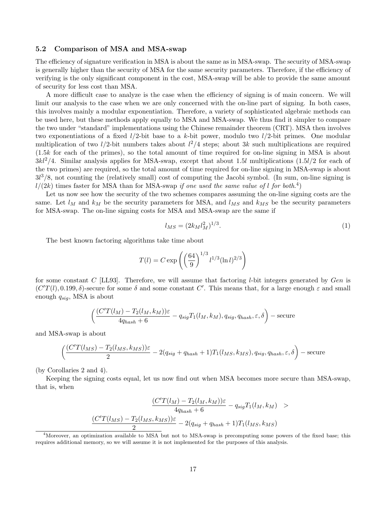#### 5.2 Comparison of MSA and MSA-swap

The efficiency of signature verification in MSA is about the same as in MSA-swap. The security of MSA-swap is generally higher than the security of MSA for the same security parameters. Therefore, if the efficiency of verifying is the only significant component in the cost, MSA-swap will be able to provide the same amount of security for less cost than MSA.

A more difficult case to analyze is the case when the efficiency of signing is of main concern. We will limit our analysis to the case when we are only concerned with the on-line part of signing. In both cases, this involves mainly a modular exponentiation. Therefore, a variety of sophisticated algebraic methods can be used here, but these methods apply equally to MSA and MSA-swap. We thus find it simpler to compare the two under "standard" implementations using the Chinese remainder theorem (CRT). MSA then involves two exponentiations of a fixed  $l/2$ -bit base to a k-bit power, modulo two  $l/2$ -bit primes. One modular multiplication of two  $l/2$ -bit numbers takes about  $l^2/4$  steps; about 3k such multiplications are required (1.5k for each of the primes), so the total amount of time required for on-line signing in MSA is about  $3kl^2/4$ . Similar analysis applies for MSA-swap, except that about 1.5l multiplications  $(1.5l/2$  for each of the two primes) are required, so the total amount of time required for on-line signing in MSA-swap is about  $3l^3/8$ , not counting the (relatively small) cost of computing the Jacobi symbol. (In sum, on-line signing is  $l/(2k)$  times faster for MSA than for MSA-swap if one used the same value of l for both.<sup>4</sup>)

Let us now see how the security of the two schemes compares assuming the on-line signing costs are the same. Let  $l_M$  and  $k_M$  be the security parameters for MSA, and  $l_{MS}$  and  $k_{MS}$  be the security parameters for MSA-swap. The on-line signing costs for MSA and MSA-swap are the same if

$$
l_{MS} = (2k_M l_M^2)^{1/3}.
$$
\n(1)

The best known factoring algorithms take time about

$$
T(l) = C \exp\left(\left(\frac{64}{9}\right)^{1/3} l^{1/3} (\ln l)^{2/3}\right)
$$

for some constant C [LL93]. Therefore, we will assume that factoring *l*-bit integers generated by Gen is  $(C'T(l), 0.199, \delta)$ -secure for some  $\delta$  and some constant C'. This means that, for a large enough  $\varepsilon$  and small enough  $q_{sig}$ , MSA is about

$$
\left(\frac{(C'T(l_M)-T_2(l_M,k_M))\varepsilon}{4q_{hash}+6}-q_{sig}T_1(l_M,k_M),q_{sig},q_{hash},\varepsilon,\delta\right)-\text{secure}
$$

and MSA-swap is about

$$
\left(\frac{(C'T(l_{MS}) - T_2(l_{MS}, k_{MS}))\varepsilon}{2} - 2(q_{sig} + q_{hash} + 1)T_1(l_{MS}, k_{MS}), q_{sig}, q_{hash}, \varepsilon, \delta\right) - \text{secure}
$$

(by Corollaries 2 and 4).

Keeping the signing costs equal, let us now find out when MSA becomes more secure than MSA-swap, that is, when

$$
\frac{(C'T(l_M) - T_2(l_M, k_M))\varepsilon}{4q_{hash} + 6} - q_{sig}T_1(l_M, k_M) >
$$
  

$$
\frac{(C'T(l_Ms) - T_2(l_Ms, k_Ms))\varepsilon}{2} - 2(q_{sig} + q_{hash} + 1)T_1(l_Ms, k_Ms)
$$

<sup>&</sup>lt;sup>4</sup>Moreover, an optimization available to MSA but not to MSA-swap is precomputing some powers of the fixed base; this requires additional memory, so we will assume it is not implemented for the purposes of this analysis.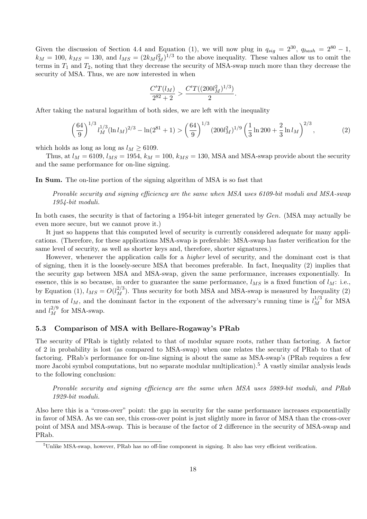Given the discussion of Section 4.4 and Equation (1), we will now plug in  $q_{sig} = 2^{30}$ ,  $q_{hash} = 2^{80} - 1$ ,  $k_M = 100$ ,  $k_{MS} = 130$ , and  $l_{MS} = (2k_M l_M^2)^{1/3}$  to the above inequality. These values allow us to omit the terms in  $T_1$  and  $T_2$ , noting that they decrease the security of MSA-swap much more than they decrease the security of MSA. Thus, we are now interested in when

$$
\frac{C'T(l_M)}{2^{82}+2} > \frac{C'T((200l_M^2)^{1/3})}{2}.
$$

After taking the natural logarithm of both sides, we are left with the inequality

$$
\left(\frac{64}{9}\right)^{1/3} l_M^{1/3} (\ln l_M)^{2/3} - \ln(2^{81} + 1) > \left(\frac{64}{9}\right)^{1/3} (200 l_M^2)^{1/9} \left(\frac{1}{3} \ln 200 + \frac{2}{3} \ln l_M\right)^{2/3},\tag{2}
$$

which holds as long as long as  $l_M \geq 6109$ .

Thus, at  $l_M = 6109$ ,  $l_{MS} = 1954$ ,  $k_M = 100$ ,  $k_{MS} = 130$ , MSA and MSA-swap provide about the security and the same performance for on-line signing.

In Sum. The on-line portion of the signing algorithm of MSA is so fast that

Provable security and signing efficiency are the same when MSA uses 6109-bit moduli and MSA-swap 1954-bit moduli.

In both cases, the security is that of factoring a 1954-bit integer generated by Gen. (MSA may actually be even more secure, but we cannot prove it.)

It just so happens that this computed level of security is currently considered adequate for many applications. (Therefore, for these applications MSA-swap is preferable: MSA-swap has faster verification for the same level of security, as well as shorter keys and, therefore, shorter signatures.)

However, whenever the application calls for a higher level of security, and the dominant cost is that of signing, then it is the loosely-secure MSA that becomes preferable. In fact, Inequality (2) implies that the security gap between MSA and MSA-swap, given the same performance, increases exponentially. In essence, this is so because, in order to guarantee the same performance,  $l_{MS}$  is a fixed function of  $l_M$ : i.e., by Equation (1),  $l_{MS} = O(l_M^{2/3})$ . Thus security for both MSA and MSA-swap is measured by Inequality (2) in terms of  $l_M$ , and the dominant factor in the exponent of the adversary's running time is  $l_M^{1/3}$  for MSA and  $l_M^{2/9}$  for MSA-swap.

### 5.3 Comparison of MSA with Bellare-Rogaway's PRab

The security of PRab is tightly related to that of modular square roots, rather than factoring. A factor of 2 in probability is lost (as compared to MSA-swap) when one relates the security of PRab to that of factoring. PRab's performance for on-line signing is about the same as MSA-swap's (PRab requires a few more Jacobi symbol computations, but no separate modular multiplication).<sup>5</sup> A vastly similar analysis leads to the following conclusion:

Provable security and signing efficiency are the same when MSA uses 5989-bit moduli, and PRab 1929-bit moduli.

Also here this is a "cross-over" point: the gap in security for the same performance increases exponentially in favor of MSA. As we can see, this cross-over point is just slightly more in favor of MSA than the cross-over point of MSA and MSA-swap. This is because of the factor of 2 difference in the security of MSA-swap and PRab.

 $5$ Unlike MSA-swap, however, PRab has no off-line component in signing. It also has very efficient verification.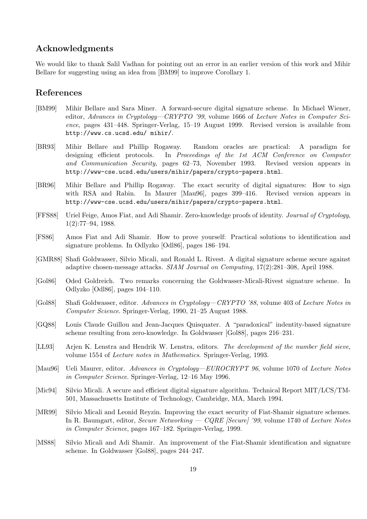# Acknowledgments

We would like to thank Salil Vadhan for pointing out an error in an earlier version of this work and Mihir Bellare for suggesting using an idea from [BM99] to improve Corollary 1.

# References

- [BM99] Mihir Bellare and Sara Miner. A forward-secure digital signature scheme. In Michael Wiener, editor, Advances in Cryptology—CRYPTO '99, volume 1666 of Lecture Notes in Computer Science, pages 431–448. Springer-Verlag, 15–19 August 1999. Revised version is available from http://www.cs.ucsd.edu/ mihir/.
- [BR93] Mihir Bellare and Phillip Rogaway. Random oracles are practical: A paradigm for designing efficient protocols. In Proceedings of the 1st ACM Conference on Computer and Communication Security, pages 62–73, November 1993. Revised version appears in http://www-cse.ucsd.edu/users/mihir/papers/crypto-papers.html.
- [BR96] Mihir Bellare and Phillip Rogaway. The exact security of digital signatures: How to sign with RSA and Rabin. In Maurer [Mau96], pages 399–416. Revised version appears in http://www-cse.ucsd.edu/users/mihir/papers/crypto-papers.html.
- [FFS88] Uriel Feige, Amos Fiat, and Adi Shamir. Zero-knowledge proofs of identity. Journal of Cryptology, 1(2):77–94, 1988.
- [FS86] Amos Fiat and Adi Shamir. How to prove yourself: Practical solutions to identification and signature problems. In Odlyzko [Odl86], pages 186–194.
- [GMR88] Shafi Goldwasser, Silvio Micali, and Ronald L. Rivest. A digital signature scheme secure against adaptive chosen-message attacks. SIAM Journal on Computing, 17(2):281–308, April 1988.
- [Gol86] Oded Goldreich. Two remarks concerning the Goldwasser-Micali-Rivest signature scheme. In Odlyzko [Odl86], pages 104–110.
- [Gol88] Shafi Goldwasser, editor. Advances in Cryptology—CRYPTO '88, volume 403 of Lecture Notes in Computer Science. Springer-Verlag, 1990, 21–25 August 1988.
- [GQ88] Louis Claude Guillou and Jean-Jacques Quisquater. A "paradoxical" indentity-based signature scheme resulting from zero-knowledge. In Goldwasser [Gol88], pages 216–231.
- [LL93] Arjen K. Lenstra and Hendrik W. Lenstra, editors. The development of the number field sieve, volume 1554 of Lecture notes in Mathematics. Springer-Verlag, 1993.
- [Mau96] Ueli Maurer, editor. Advances in Cryptology—EUROCRYPT 96, volume 1070 of Lecture Notes in Computer Science. Springer-Verlag, 12–16 May 1996.
- [Mic94] Silvio Micali. A secure and efficient digital signature algorithm. Technical Report MIT/LCS/TM-501, Massachusetts Institute of Technology, Cambridge, MA, March 1994.
- [MR99] Silvio Micali and Leonid Reyzin. Improving the exact security of Fiat-Shamir signature schemes. In R. Baumgart, editor, Secure Networking  $- CQRE$  [Secure] '99, volume 1740 of Lecture Notes in Computer Science, pages 167–182. Springer-Verlag, 1999.
- [MS88] Silvio Micali and Adi Shamir. An improvement of the Fiat-Shamir identification and signature scheme. In Goldwasser [Gol88], pages 244–247.